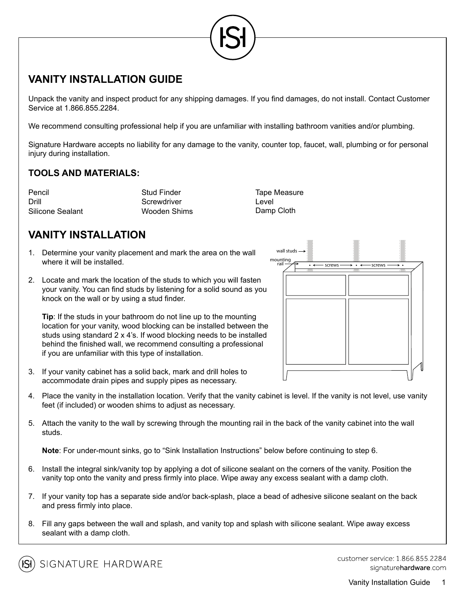

# **VANITY INSTALLATION GUIDE**

Unpack the vanity and inspect product for any shipping damages. If you find damages, do not install. Contact Customer Service at 1.866.855.2284.

We recommend consulting professional help if you are unfamiliar with installing bathroom vanities and/or plumbing.

Signature Hardware accepts no liability for any damage to the vanity, counter top, faucet, wall, plumbing or for personal injury during installation.

#### **TOOLS AND MATERIALS:**

Pencil **Example 2** Stud Finder **Tape Measure Tape Measure** Drill Screwdriver Level Silicone Sealant Wooden Shims Damp Cloth

wall studs

# **VANITY INSTALLATION**

- 1. Determine your vanity placement and mark the area on the wall where it will be installed.
- 2. Locate and mark the location of the studs to which you will fasten your vanity. You can find studs by listening for a solid sound as you knock on the wall or by using a stud finder.

**Tip:** If the studs in your bathroom do not line up to the mounting location for your vanity, wood blocking can be installed between the studs using standard 2 x 4's. If wood blocking needs to be installed behind the finished wall, we recommend consulting a professional if you are unfamiliar with this type of installation.



mounting<br>
rail  $\overline{\phantom{a}}$   $\overline{\phantom{a}}$   $\overline{\phantom{a}}$   $\overline{\phantom{a}}$   $\overline{\phantom{a}}$   $\overline{\phantom{a}}$   $\overline{\phantom{a}}$   $\overline{\phantom{a}}$   $\overline{\phantom{a}}$   $\overline{\phantom{a}}$   $\overline{\phantom{a}}$   $\overline{\phantom{a}}$   $\overline{\phantom{a}}$   $\overline{\phantom{a}}$   $\overline{\phantom{a}}$   $\overline{\phantom{a}}$   $\overline{\phantom{a}}$   $\$ 

- 3. If your vanity cabinet has a solid back, mark and drill holes to accommodate drain pipes and supply pipes as necessary.
- 4. Place the vanity in the installation location. Verify that the vanity cabinet is level. If the vanity is not level, use vanity feet (if included) or wooden shims to adjust as necessary.
- 5. Attach the vanity to the wall by screwing through the mounting rail in the back of the vanity cabinet into the wall studs.

**Note**: For under-mount sinks, go to "Sink Installation Instructions" below before continuing to step 6.

- 6. Install the integral sink/vanity top by applying a dot of silicone sealant on the corners of the vanity. Position the vanity top onto the vanity and press firmly into place. Wipe away any excess sealant with a damp cloth.
- 7. If your vanity top has a separate side and/or back-splash, place a bead of adhesive silicone sealant on the back and press firmly into place.
- 8. Fill any gaps between the wall and splash, and vanity top and splash with silicone sealant. Wipe away excess sealant with a damp cloth.



customer service: 1 866 855 2284 signaturehardware com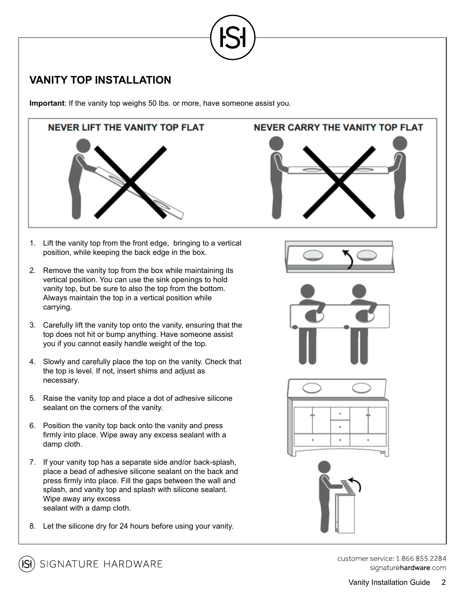

# **VANITY TOP INSTALLATION**

**Important**: If the vanity top weighs 50 lbs. or more, have someone assist you.



- 1. Lift the vanity top from the front edge, bringing to a vertical position, while keeping the back edge in the box.
- 2. Remove the vanity top from the box while maintaining its vertical position. You can use the sink openings to hold vanity top, but be sure to also the top from the bottom. Always maintain the top in a vertical position while carrying.
- 3. Carefully lift the vanity top onto the vanity, ensuring that the top does not hit or bump anything. Have someone assist you if you cannot easily handle weight of the top.
- 4. Slowly and carefully place the top on the vanity. Check that the top is level. If not, insert shims and adjust as necessary.
- 5. Raise the vanity top and place a dot of adhesive silicone sealant on the corners of the vanity.
- 6. Position the vanity top back onto the vanity and press firmly into place. Wipe away any excess sealant with a damp cloth.
- 7. If your vanity top has a separate side and/or back-splash, place a bead of adhesive silicone sealant on the back and press firmly into place. Fill the gaps between the wall and splash, and vanity top and splash with silicone sealant. Wipe away any excess sealant with a damp cloth.
- 8. Let the silicone dry for 24 hours before using your vanity.

## **NEVER CARRY THE VANITY TOP FLAT**











customer service: 1 866 855 2284 signaturehardware com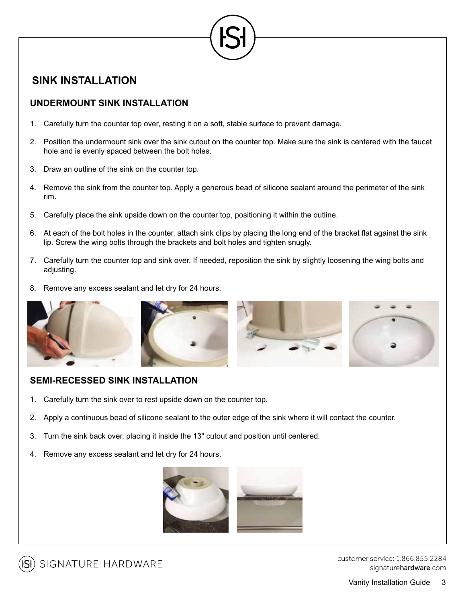

## **SINK INSTALLATION**

### **UNDERMOUNT SINK INSTALLATION**

- 1. Carefully turn the counter top over, resting it on a soft, stable surface to prevent damage.
- 2. Position the undermount sink over the sink cutout on the counter top. Make sure the sink is centered with the faucet hole and is evenly spaced between the bolt holes.
- 3. Draw an outline of the sink on the counter top.
- 4. Remove the sink from the counter top. Apply a generous bead of silicone sealant around the perimeter of the sink rim.
- 5. Carefully place the sink upside down on the counter top, positioning it within the outline.
- 6. At each of the bolt holes in the counter, attach sink clips by placing the long end of the bracket flat against the sink lip. Screw the wing bolts through the brackets and bolt holes and tighten snugly.
- 7. Carefully turn the counter top and sink over. If needed, reposition the sink by slightly loosening the wing bolts and adjusting.
- 8. Remove any excess sealant and let dry for 24 hours.



#### **SEMI-RECESSED SINK INSTALLATION**

- 1. Carefully turn the sink over to rest upside down on the counter top.
- 2. Apply a continuous bead of silicone sealant to the outer edge of the sink where it will contact the counter.
- 3. Turn the sink back over, placing it inside the 13" cutout and position until centered.
- 4. Remove any excess sealant and let dry for 24 hours.





customer service: 1 866 855 2284 signaturehardware com